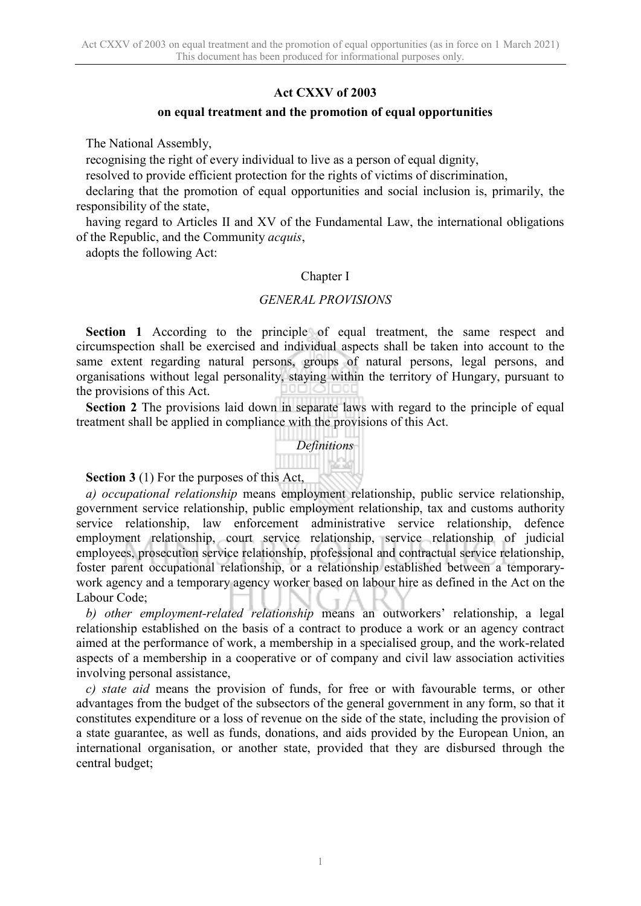#### **Act CXXV of 2003**

#### **on equal treatment and the promotion of equal opportunities**

The National Assembly,

recognising the right of every individual to live as a person of equal dignity,

resolved to provide efficient protection for the rights of victims of discrimination,

declaring that the promotion of equal opportunities and social inclusion is, primarily, the responsibility of the state,

having regard to Articles II and XV of the Fundamental Law, the international obligations of the Republic, and the Community *acquis*,

adopts the following Act:

#### Chapter I

#### *GENERAL PROVISIONS*

**Section 1** According to the principle of equal treatment, the same respect and circumspection shall be exercised and individual aspects shall be taken into account to the same extent regarding natural persons, groups of natural persons, legal persons, and organisations without legal personality, staying within the territory of Hungary, pursuant to the provisions of this Act.

**Section 2** The provisions laid down in separate laws with regard to the principle of equal treatment shall be applied in compliance with the provisions of this Act.



**Section 3** (1) For the purposes of this Act,

*a) occupational relationship* means employment relationship, public service relationship, government service relationship, public employment relationship, tax and customs authority service relationship, law enforcement administrative service relationship, defence employment relationship, court service relationship, service relationship of judicial employees, prosecution service relationship, professional and contractual service relationship, foster parent occupational relationship, or a relationship established between a temporarywork agency and a temporary agency worker based on labour hire as defined in the Act on the Labour Code;

*b) other employment-related relationship* means an outworkers' relationship, a legal relationship established on the basis of a contract to produce a work or an agency contract aimed at the performance of work, a membership in a specialised group, and the work-related aspects of a membership in a cooperative or of company and civil law association activities involving personal assistance,

*c) state aid* means the provision of funds, for free or with favourable terms, or other advantages from the budget of the subsectors of the general government in any form, so that it constitutes expenditure or a loss of revenue on the side of the state, including the provision of a state guarantee, as well as funds, donations, and aids provided by the European Union, an international organisation, or another state, provided that they are disbursed through the central budget;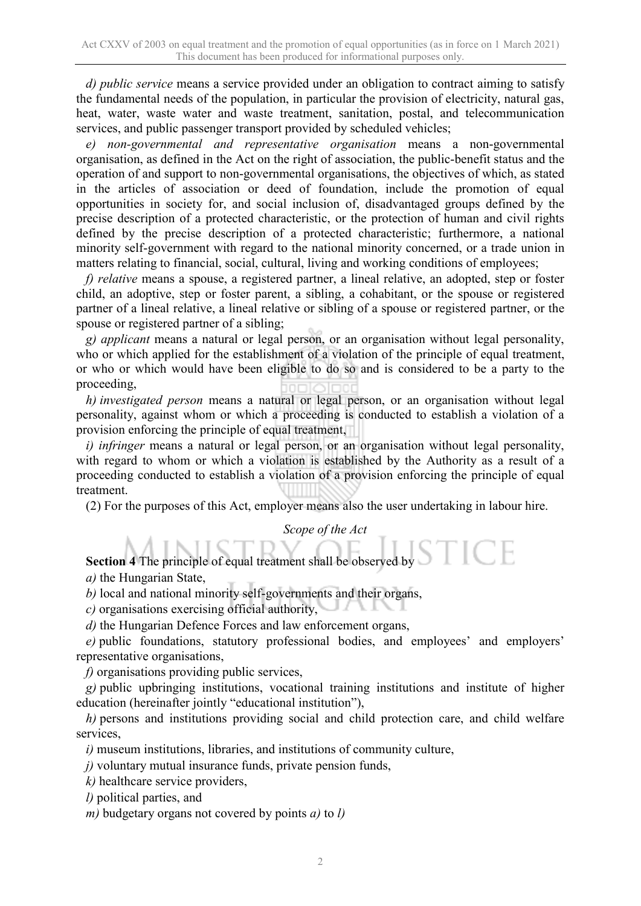*d) public service* means a service provided under an obligation to contract aiming to satisfy the fundamental needs of the population, in particular the provision of electricity, natural gas, heat, water, waste water and waste treatment, sanitation, postal, and telecommunication services, and public passenger transport provided by scheduled vehicles;

*e) non-governmental and representative organisation* means a non-governmental organisation, as defined in the Act on the right of association, the public-benefit status and the operation of and support to non-governmental organisations, the objectives of which, as stated in the articles of association or deed of foundation, include the promotion of equal opportunities in society for, and social inclusion of, disadvantaged groups defined by the precise description of a protected characteristic, or the protection of human and civil rights defined by the precise description of a protected characteristic; furthermore, a national minority self-government with regard to the national minority concerned, or a trade union in matters relating to financial, social, cultural, living and working conditions of employees;

*f) relative* means a spouse, a registered partner, a lineal relative, an adopted, step or foster child, an adoptive, step or foster parent, a sibling, a cohabitant, or the spouse or registered partner of a lineal relative, a lineal relative or sibling of a spouse or registered partner, or the spouse or registered partner of a sibling;

*g) applicant* means a natural or legal person, or an organisation without legal personality, who or which applied for the establishment of a violation of the principle of equal treatment, or who or which would have been eligible to do so and is considered to be a party to the proceeding,

*h) investigated person* means a natural or legal person, or an organisation without legal personality, against whom or which a proceeding is conducted to establish a violation of a provision enforcing the principle of equal treatment,

*i) infringer* means a natural or legal person, or an organisation without legal personality, with regard to whom or which a violation is established by the Authority as a result of a proceeding conducted to establish a violation of a provision enforcing the principle of equal treatment.

(2) For the purposes of this Act, employer means also the user undertaking in labour hire.

*Scope of the Act*

**Section 4** The principle of equal treatment shall be observed by  $S$ 

*a)* the Hungarian State,

*b)* local and national minority self-governments and their organs,

*c)* organisations exercising official authority,

*d)* the Hungarian Defence Forces and law enforcement organs,

e) public foundations, statutory professional bodies, and employees' and employers' representative organisations,

*f)* organisations providing public services,

*g)* public upbringing institutions, vocational training institutions and institute of higher education (hereinafter jointly "educational institution"),

*h)* persons and institutions providing social and child protection care, and child welfare services,

*i)* museum institutions, libraries, and institutions of community culture,

*j)* voluntary mutual insurance funds, private pension funds,

*k)* healthcare service providers,

*l)* political parties, and

*m)* budgetary organs not covered by points *a)* to *l)*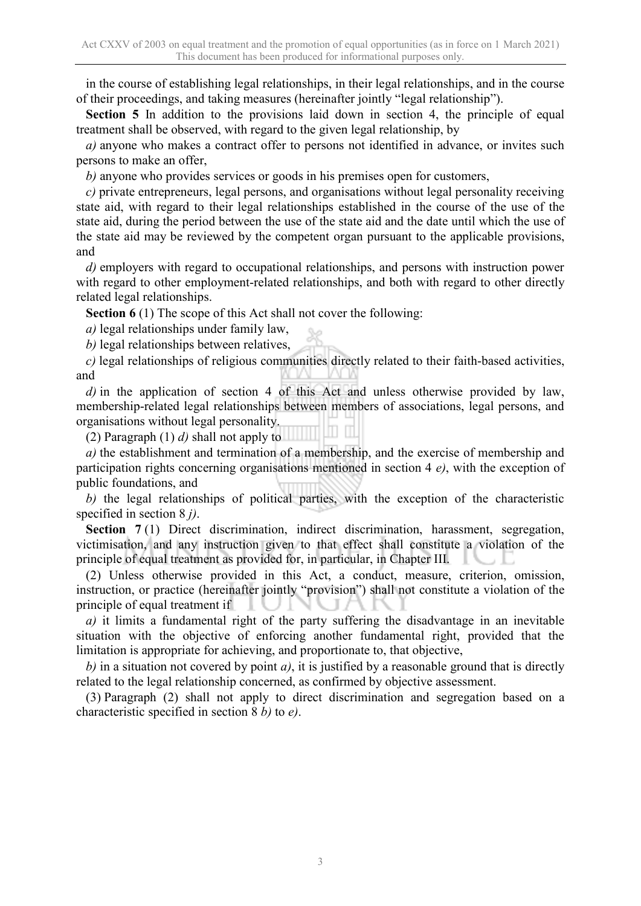in the course of establishing legal relationships, in their legal relationships, and in the course of their proceedings, and taking measures (hereinafter jointly "legal relationship").

**Section 5** In addition to the provisions laid down in section 4, the principle of equal treatment shall be observed, with regard to the given legal relationship, by

*a)* anyone who makes a contract offer to persons not identified in advance, or invites such persons to make an offer,

*b)* anyone who provides services or goods in his premises open for customers,

*c)* private entrepreneurs, legal persons, and organisations without legal personality receiving state aid, with regard to their legal relationships established in the course of the use of the state aid, during the period between the use of the state aid and the date until which the use of the state aid may be reviewed by the competent organ pursuant to the applicable provisions, and

*d)* employers with regard to occupational relationships, and persons with instruction power with regard to other employment-related relationships, and both with regard to other directly related legal relationships.

**Section 6** (1) The scope of this Act shall not cover the following:

*a)* legal relationships under family law,

*b)* legal relationships between relatives,

*c)* legal relationships of religious communities directly related to their faith-based activities, and

*d)* in the application of section 4 of this Act and unless otherwise provided by law, membership-related legal relationships between members of associations, legal persons, and organisations without legal personality.

(2) Paragraph (1) *d)* shall not apply to

*a)* the establishment and termination of a membership, and the exercise of membership and participation rights concerning organisations mentioned in section 4 *e)*, with the exception of public foundations, and

*b)* the legal relationships of political parties, with the exception of the characteristic specified in section 8 *j)*.

**Section 7** (1) Direct discrimination, indirect discrimination, harassment, segregation, victimisation, and any instruction given to that effect shall constitute a violation of the principle of equal treatment as provided for, in particular, in Chapter III.

(2) Unless otherwise provided in this Act, a conduct, measure, criterion, omission, instruction, or practice (hereinafter jointly "provision") shall not constitute a violation of the principle of equal treatment if

*a)* it limits a fundamental right of the party suffering the disadvantage in an inevitable situation with the objective of enforcing another fundamental right, provided that the limitation is appropriate for achieving, and proportionate to, that objective,

*b)* in a situation not covered by point *a)*, it is justified by a reasonable ground that is directly related to the legal relationship concerned, as confirmed by objective assessment.

(3) Paragraph (2) shall not apply to direct discrimination and segregation based on a characteristic specified in section 8 *b)* to *e)*.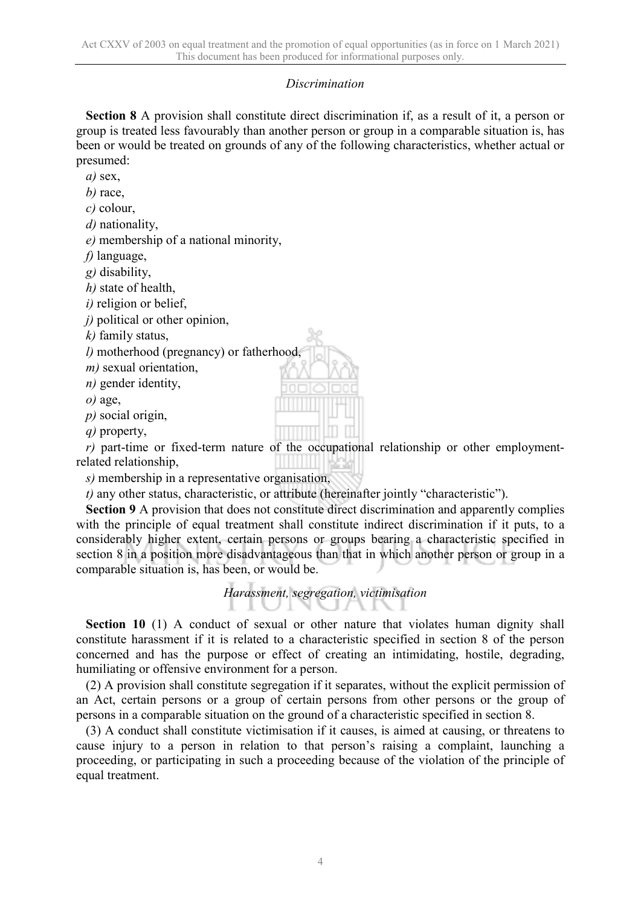#### *Discrimination*

**Section 8** A provision shall constitute direct discrimination if, as a result of it, a person or group is treated less favourably than another person or group in a comparable situation is, has been or would be treated on grounds of any of the following characteristics, whether actual or presumed:

*a)* sex,

*b)* race,

*c)* colour,

*d)* nationality,

*e)* membership of a national minority,

*f)* language,

*g)* disability,

*h)* state of health,

*i)* religion or belief,

*j*) political or other opinion,

*k)* family status,

*l)* motherhood (pregnancy) or fatherhood,

*m)* sexual orientation,

*n)* gender identity,

*o)* age,

*p)* social origin,

*q)* property,

*r)* part-time or fixed-term nature of the occupational relationship or other employmentrelated relationship,

*s)* membership in a representative organisation,

*t)* any other status, characteristic, or attribute (hereinafter jointly "characteristic").

**Section 9** A provision that does not constitute direct discrimination and apparently complies with the principle of equal treatment shall constitute indirect discrimination if it puts, to a considerably higher extent, certain persons or groups bearing a characteristic specified in section 8 in a position more disadvantageous than that in which another person or group in a comparable situation is, has been, or would be.

#### *Harassment, segregation, victimisation* - 11 - 8

**Section 10** (1) A conduct of sexual or other nature that violates human dignity shall constitute harassment if it is related to a characteristic specified in section 8 of the person concerned and has the purpose or effect of creating an intimidating, hostile, degrading, humiliating or offensive environment for a person.

(2) A provision shall constitute segregation if it separates, without the explicit permission of an Act, certain persons or a group of certain persons from other persons or the group of persons in a comparable situation on the ground of a characteristic specified in section 8.

(3) A conduct shall constitute victimisation if it causes, is aimed at causing, or threatens to cause injury to a person in relation to that person's raising a complaint, launching a proceeding, or participating in such a proceeding because of the violation of the principle of equal treatment.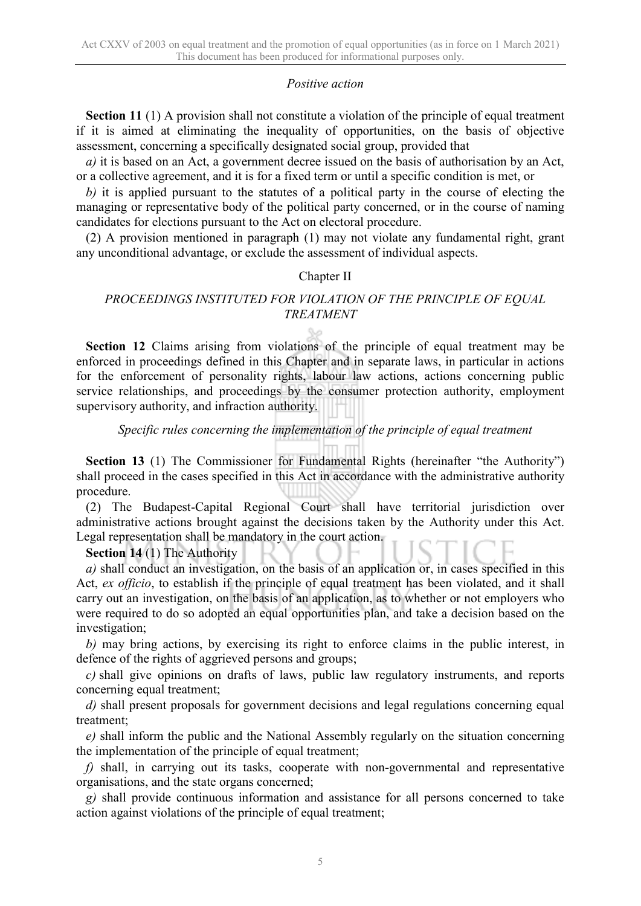#### *Positive action*

**Section 11** (1) A provision shall not constitute a violation of the principle of equal treatment if it is aimed at eliminating the inequality of opportunities, on the basis of objective assessment, concerning a specifically designated social group, provided that

*a)* it is based on an Act, a government decree issued on the basis of authorisation by an Act, or a collective agreement, and it is for a fixed term or until a specific condition is met, or

*b)* it is applied pursuant to the statutes of a political party in the course of electing the managing or representative body of the political party concerned, or in the course of naming candidates for elections pursuant to the Act on electoral procedure.

(2) A provision mentioned in paragraph (1) may not violate any fundamental right, grant any unconditional advantage, or exclude the assessment of individual aspects.

#### Chapter II

#### *PROCEEDINGS INSTITUTED FOR VIOLATION OF THE PRINCIPLE OF EQUAL TREATMENT*

**Section 12** Claims arising from violations of the principle of equal treatment may be enforced in proceedings defined in this Chapter and in separate laws, in particular in actions for the enforcement of personality rights, labour law actions, actions concerning public service relationships, and proceedings by the consumer protection authority, employment supervisory authority, and infraction authority.

#### *Specific rules concerning the implementation of the principle of equal treatment*

**Section 13** (1) The Commissioner for Fundamental Rights (hereinafter "the Authority") shall proceed in the cases specified in this Act in accordance with the administrative authority procedure.

(2) The Budapest-Capital Regional Court shall have territorial jurisdiction over administrative actions brought against the decisions taken by the Authority under this Act. Legal representation shall be mandatory in the court action.

#### **Section 14** (1) The Authority

*a)* shall conduct an investigation, on the basis of an application or, in cases specified in this Act, *ex officio*, to establish if the principle of equal treatment has been violated, and it shall carry out an investigation, on the basis of an application, as to whether or not employers who were required to do so adopted an equal opportunities plan, and take a decision based on the investigation;

*b)* may bring actions, by exercising its right to enforce claims in the public interest, in defence of the rights of aggrieved persons and groups;

*c)* shall give opinions on drafts of laws, public law regulatory instruments, and reports concerning equal treatment;

*d)* shall present proposals for government decisions and legal regulations concerning equal treatment;

*e)* shall inform the public and the National Assembly regularly on the situation concerning the implementation of the principle of equal treatment;

*f)* shall, in carrying out its tasks, cooperate with non-governmental and representative organisations, and the state organs concerned;

*g)* shall provide continuous information and assistance for all persons concerned to take action against violations of the principle of equal treatment;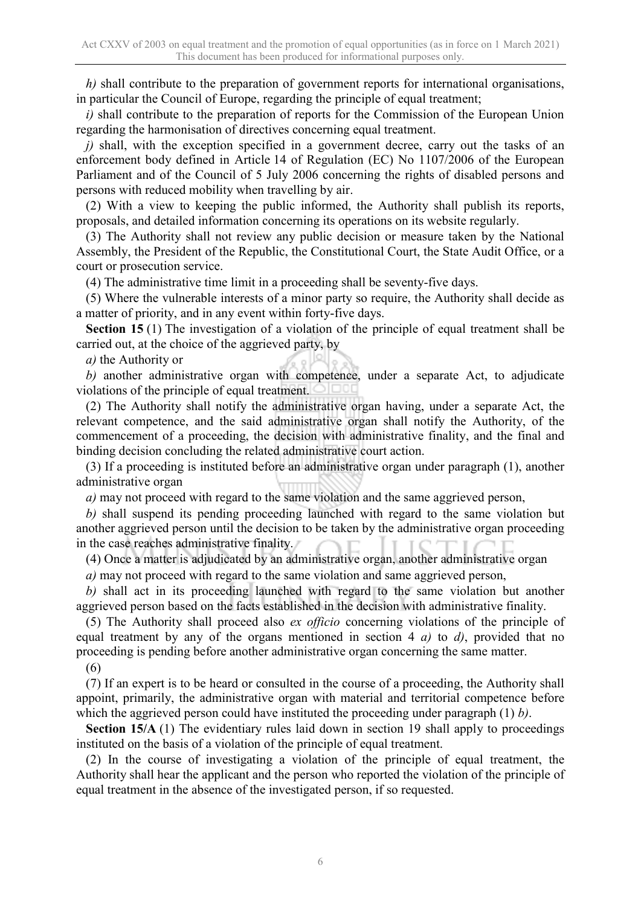*h)* shall contribute to the preparation of government reports for international organisations, in particular the Council of Europe, regarding the principle of equal treatment;

*i)* shall contribute to the preparation of reports for the Commission of the European Union regarding the harmonisation of directives concerning equal treatment.

*j)* shall, with the exception specified in a government decree, carry out the tasks of an enforcement body defined in Article 14 of Regulation (EC) No 1107/2006 of the European Parliament and of the Council of 5 July 2006 concerning the rights of disabled persons and persons with reduced mobility when travelling by air.

(2) With a view to keeping the public informed, the Authority shall publish its reports, proposals, and detailed information concerning its operations on its website regularly.

(3) The Authority shall not review any public decision or measure taken by the National Assembly, the President of the Republic, the Constitutional Court, the State Audit Office, or a court or prosecution service.

(4) The administrative time limit in a proceeding shall be seventy-five days.

(5) Where the vulnerable interests of a minor party so require, the Authority shall decide as a matter of priority, and in any event within forty-five days.

**Section 15** (1) The investigation of a violation of the principle of equal treatment shall be carried out, at the choice of the aggrieved party, by

*a)* the Authority or

*b)* another administrative organ with competence, under a separate Act, to adjudicate violations of the principle of equal treatment.  $\Box$ 

(2) The Authority shall notify the administrative organ having, under a separate Act, the relevant competence, and the said administrative organ shall notify the Authority, of the commencement of a proceeding, the decision with administrative finality, and the final and binding decision concluding the related administrative court action.

(3) If a proceeding is instituted before an administrative organ under paragraph (1), another administrative organ

*a)* may not proceed with regard to the same violation and the same aggrieved person,

*b)* shall suspend its pending proceeding launched with regard to the same violation but another aggrieved person until the decision to be taken by the administrative organ proceeding in the case reaches administrative finality.

(4) Once a matter is adjudicated by an administrative organ, another administrative organ

*a)* may not proceed with regard to the same violation and same aggrieved person,

*b)* shall act in its proceeding launched with regard to the same violation but another aggrieved person based on the facts established in the decision with administrative finality.

(5) The Authority shall proceed also *ex officio* concerning violations of the principle of equal treatment by any of the organs mentioned in section 4 *a)* to *d)*, provided that no proceeding is pending before another administrative organ concerning the same matter.

(6)

(7) If an expert is to be heard or consulted in the course of a proceeding, the Authority shall appoint, primarily, the administrative organ with material and territorial competence before which the aggrieved person could have instituted the proceeding under paragraph (1) *b)*.

**Section 15/A** (1) The evidentiary rules laid down in section 19 shall apply to proceedings instituted on the basis of a violation of the principle of equal treatment.

(2) In the course of investigating a violation of the principle of equal treatment, the Authority shall hear the applicant and the person who reported the violation of the principle of equal treatment in the absence of the investigated person, if so requested.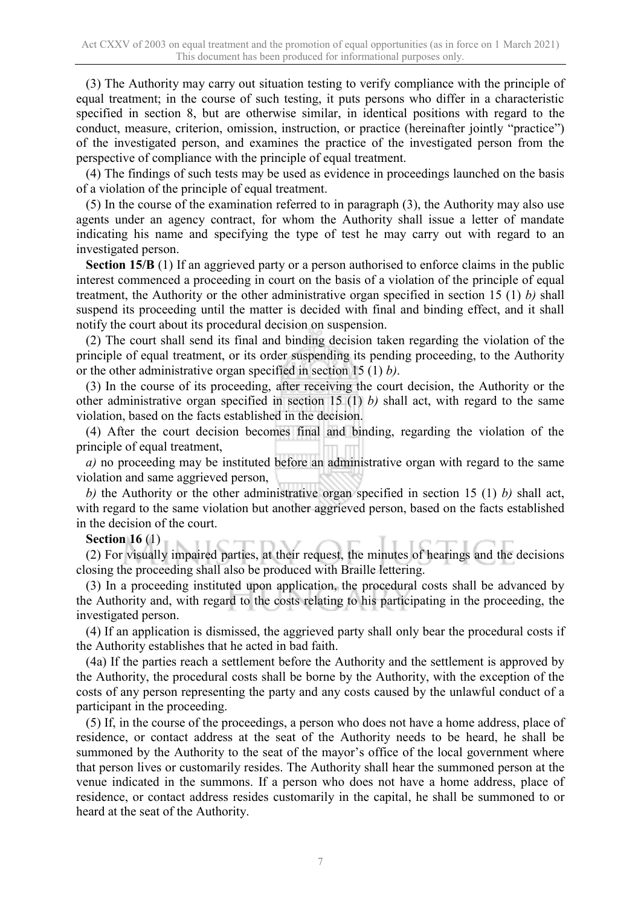(3) The Authority may carry out situation testing to verify compliance with the principle of equal treatment; in the course of such testing, it puts persons who differ in a characteristic specified in section 8, but are otherwise similar, in identical positions with regard to the conduct, measure, criterion, omission, instruction, or practice (hereinafter jointly "practice") of the investigated person, and examines the practice of the investigated person from the perspective of compliance with the principle of equal treatment.

(4) The findings of such tests may be used as evidence in proceedings launched on the basis of a violation of the principle of equal treatment.

(5) In the course of the examination referred to in paragraph (3), the Authority may also use agents under an agency contract, for whom the Authority shall issue a letter of mandate indicating his name and specifying the type of test he may carry out with regard to an investigated person.

**Section 15/B** (1) If an aggrieved party or a person authorised to enforce claims in the public interest commenced a proceeding in court on the basis of a violation of the principle of equal treatment, the Authority or the other administrative organ specified in section 15 (1) *b)* shall suspend its proceeding until the matter is decided with final and binding effect, and it shall notify the court about its procedural decision on suspension.

(2) The court shall send its final and binding decision taken regarding the violation of the principle of equal treatment, or its order suspending its pending proceeding, to the Authority or the other administrative organ specified in section 15 (1) *b)*.

(3) In the course of its proceeding, after receiving the court decision, the Authority or the other administrative organ specified in section 15 (1) *b)* shall act, with regard to the same violation, based on the facts established in the decision.

(4) After the court decision becomes final and binding, regarding the violation of the principle of equal treatment,

*a)* no proceeding may be instituted before an administrative organ with regard to the same violation and same aggrieved person,

*b)* the Authority or the other administrative organ specified in section 15 (1) *b)* shall act, with regard to the same violation but another aggrieved person, based on the facts established in the decision of the court.

#### **Section 16** (1)

(2) For visually impaired parties, at their request, the minutes of hearings and the decisions closing the proceeding shall also be produced with Braille lettering.

(3) In a proceeding instituted upon application, the procedural costs shall be advanced by the Authority and, with regard to the costs relating to his participating in the proceeding, the investigated person.

(4) If an application is dismissed, the aggrieved party shall only bear the procedural costs if the Authority establishes that he acted in bad faith.

(4a) If the parties reach a settlement before the Authority and the settlement is approved by the Authority, the procedural costs shall be borne by the Authority, with the exception of the costs of any person representing the party and any costs caused by the unlawful conduct of a participant in the proceeding.

(5) If, in the course of the proceedings, a person who does not have a home address, place of residence, or contact address at the seat of the Authority needs to be heard, he shall be summoned by the Authority to the seat of the mayor's office of the local government where that person lives or customarily resides. The Authority shall hear the summoned person at the venue indicated in the summons. If a person who does not have a home address, place of residence, or contact address resides customarily in the capital, he shall be summoned to or heard at the seat of the Authority.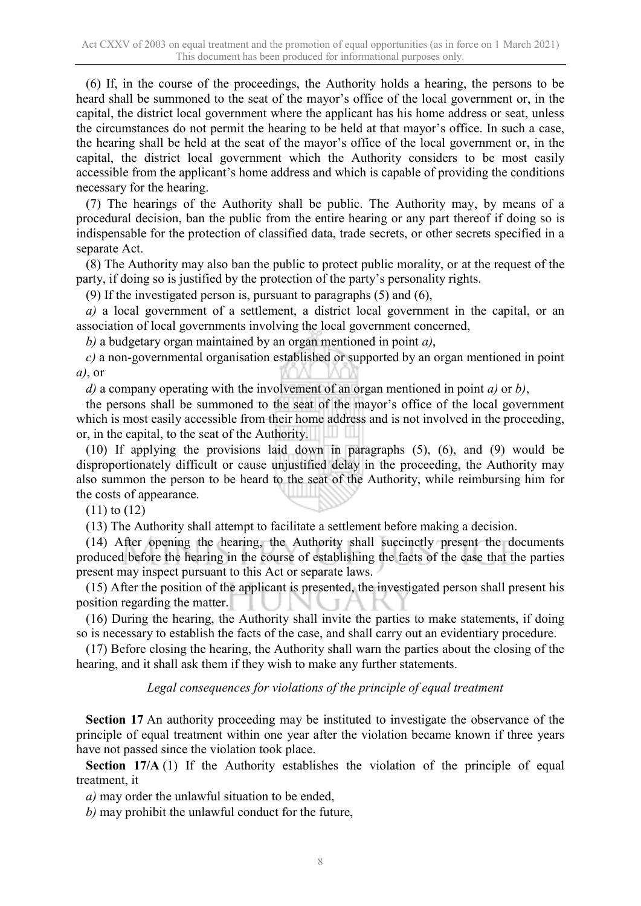(6) If, in the course of the proceedings, the Authority holds a hearing, the persons to be heard shall be summoned to the seat of the mayor's office of the local government or, in the capital, the district local government where the applicant has his home address or seat, unless the circumstances do not permit the hearing to be held at that mayor's office. In such a case, the hearing shall be held at the seat of the mayor's office of the local government or, in the capital, the district local government which the Authority considers to be most easily accessible from the applicant's home address and which is capable of providing the conditions necessary for the hearing.

(7) The hearings of the Authority shall be public. The Authority may, by means of a procedural decision, ban the public from the entire hearing or any part thereof if doing so is indispensable for the protection of classified data, trade secrets, or other secrets specified in a separate Act.

(8) The Authority may also ban the public to protect public morality, or at the request of the party, if doing so is justified by the protection of the party's personality rights.

(9) If the investigated person is, pursuant to paragraphs (5) and (6),

*a)* a local government of a settlement, a district local government in the capital, or an association of local governments involving the local government concerned,

*b)* a budgetary organ maintained by an organ mentioned in point *a)*,

*c)* a non-governmental organisation established or supported by an organ mentioned in point *a)*, or

*d)* a company operating with the involvement of an organ mentioned in point *a)* or *b)*,

the persons shall be summoned to the seat of the mayor's office of the local government which is most easily accessible from their home address and is not involved in the proceeding, or, in the capital, to the seat of the Authority.

(10) If applying the provisions laid down in paragraphs (5), (6), and (9) would be disproportionately difficult or cause unjustified delay in the proceeding, the Authority may also summon the person to be heard to the seat of the Authority, while reimbursing him for the costs of appearance.

(11) to (12)

(13) The Authority shall attempt to facilitate a settlement before making a decision.

(14) After opening the hearing, the Authority shall succinctly present the documents produced before the hearing in the course of establishing the facts of the case that the parties present may inspect pursuant to this Act or separate laws.

(15) After the position of the applicant is presented, the investigated person shall present his position regarding the matter.

(16) During the hearing, the Authority shall invite the parties to make statements, if doing so is necessary to establish the facts of the case, and shall carry out an evidentiary procedure.

(17) Before closing the hearing, the Authority shall warn the parties about the closing of the hearing, and it shall ask them if they wish to make any further statements.

*Legal consequences for violations of the principle of equal treatment*

**Section 17** An authority proceeding may be instituted to investigate the observance of the principle of equal treatment within one year after the violation became known if three years have not passed since the violation took place.

**Section 17/A** (1) If the Authority establishes the violation of the principle of equal treatment, it

*a)* may order the unlawful situation to be ended,

*b)* may prohibit the unlawful conduct for the future,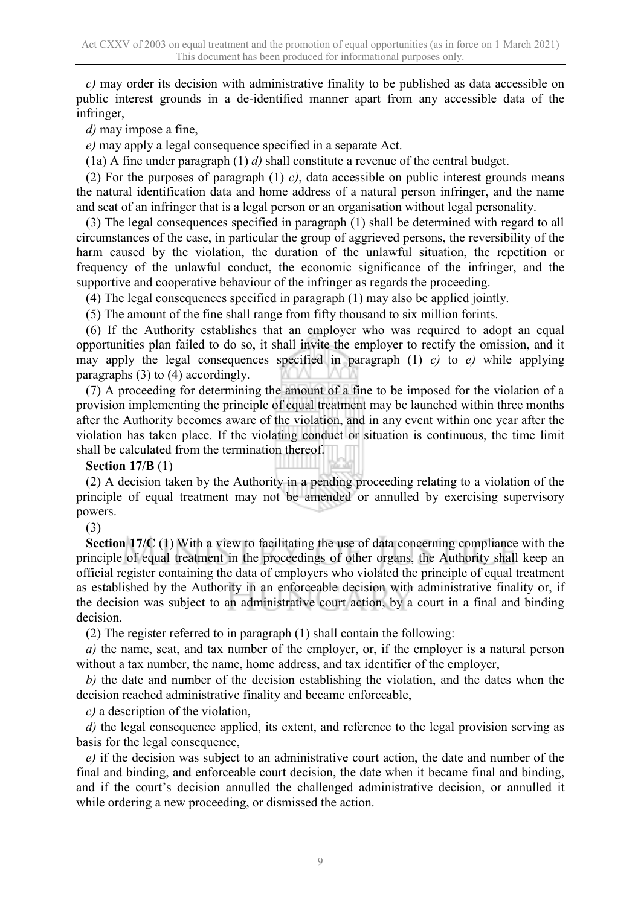*c)* may order its decision with administrative finality to be published as data accessible on public interest grounds in a de-identified manner apart from any accessible data of the infringer,

*d)* may impose a fine,

*e)* may apply a legal consequence specified in a separate Act.

(1a) A fine under paragraph (1) *d)* shall constitute a revenue of the central budget.

(2) For the purposes of paragraph (1) *c)*, data accessible on public interest grounds means the natural identification data and home address of a natural person infringer, and the name and seat of an infringer that is a legal person or an organisation without legal personality.

(3) The legal consequences specified in paragraph (1) shall be determined with regard to all circumstances of the case, in particular the group of aggrieved persons, the reversibility of the harm caused by the violation, the duration of the unlawful situation, the repetition or frequency of the unlawful conduct, the economic significance of the infringer, and the supportive and cooperative behaviour of the infringer as regards the proceeding.

(4) The legal consequences specified in paragraph (1) may also be applied jointly.

(5) The amount of the fine shall range from fifty thousand to six million forints.

(6) If the Authority establishes that an employer who was required to adopt an equal opportunities plan failed to do so, it shall invite the employer to rectify the omission, and it may apply the legal consequences specified in paragraph (1) *c)* to *e)* while applying paragraphs (3) to (4) accordingly.

(7) A proceeding for determining the amount of a fine to be imposed for the violation of a provision implementing the principle of equal treatment may be launched within three months after the Authority becomes aware of the violation, and in any event within one year after the violation has taken place. If the violating conduct or situation is continuous, the time limit shall be calculated from the termination thereof.

**Section 17/B** (1)

(2) A decision taken by the Authority in a pending proceeding relating to a violation of the principle of equal treatment may not be amended or annulled by exercising supervisory powers.

(3)

**Section 17/C** (1) With a view to facilitating the use of data concerning compliance with the principle of equal treatment in the proceedings of other organs, the Authority shall keep an official register containing the data of employers who violated the principle of equal treatment as established by the Authority in an enforceable decision with administrative finality or, if the decision was subject to an administrative court action, by a court in a final and binding decision.

(2) The register referred to in paragraph (1) shall contain the following:

*a)* the name, seat, and tax number of the employer, or, if the employer is a natural person without a tax number, the name, home address, and tax identifier of the employer,

*b)* the date and number of the decision establishing the violation, and the dates when the decision reached administrative finality and became enforceable,

*c)* a description of the violation,

*d)* the legal consequence applied, its extent, and reference to the legal provision serving as basis for the legal consequence,

*e)* if the decision was subject to an administrative court action, the date and number of the final and binding, and enforceable court decision, the date when it became final and binding, and if the court's decision annulled the challenged administrative decision, or annulled it while ordering a new proceeding, or dismissed the action.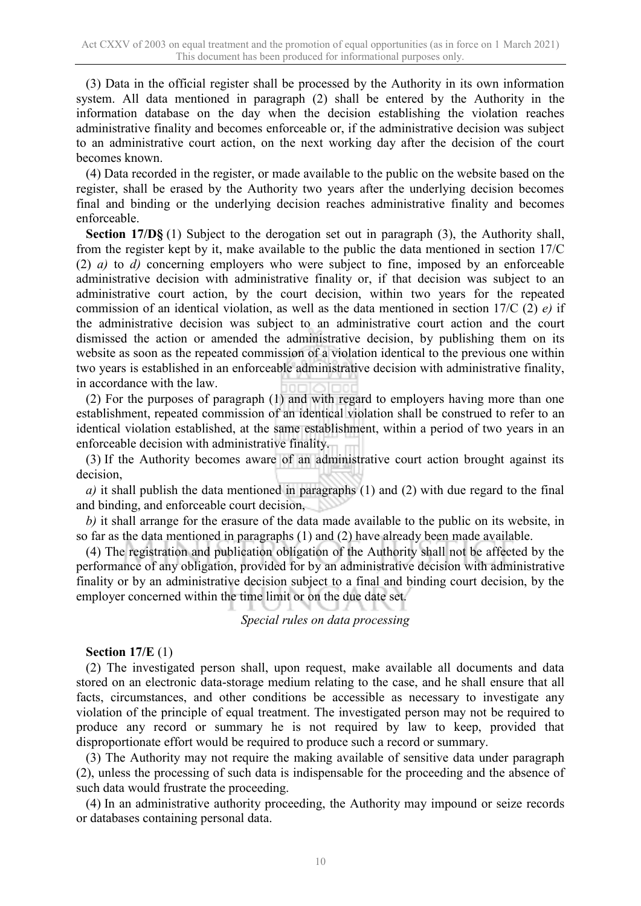(3) Data in the official register shall be processed by the Authority in its own information system. All data mentioned in paragraph (2) shall be entered by the Authority in the information database on the day when the decision establishing the violation reaches administrative finality and becomes enforceable or, if the administrative decision was subject to an administrative court action, on the next working day after the decision of the court becomes known.

(4) Data recorded in the register, or made available to the public on the website based on the register, shall be erased by the Authority two years after the underlying decision becomes final and binding or the underlying decision reaches administrative finality and becomes enforceable.

**Section 17/D§** (1) Subject to the derogation set out in paragraph (3), the Authority shall, from the register kept by it, make available to the public the data mentioned in section 17/C (2) *a)* to *d)* concerning employers who were subject to fine, imposed by an enforceable administrative decision with administrative finality or, if that decision was subject to an administrative court action, by the court decision, within two years for the repeated commission of an identical violation, as well as the data mentioned in section 17/C (2) *e)* if the administrative decision was subject to an administrative court action and the court dismissed the action or amended the administrative decision, by publishing them on its website as soon as the repeated commission of a violation identical to the previous one within two years is established in an enforceable administrative decision with administrative finality, in accordance with the law.

(2) For the purposes of paragraph (1) and with regard to employers having more than one establishment, repeated commission of an identical violation shall be construed to refer to an identical violation established, at the same establishment, within a period of two years in an enforceable decision with administrative finality.

(3) If the Authority becomes aware of an administrative court action brought against its decision,

*a)* it shall publish the data mentioned in paragraphs (1) and (2) with due regard to the final and binding, and enforceable court decision,

*b)* it shall arrange for the erasure of the data made available to the public on its website, in so far as the data mentioned in paragraphs (1) and (2) have already been made available.

(4) The registration and publication obligation of the Authority shall not be affected by the performance of any obligation, provided for by an administrative decision with administrative finality or by an administrative decision subject to a final and binding court decision, by the employer concerned within the time limit or on the due date set.

*Special rules on data processing*

#### **Section 17/E** (1)

(2) The investigated person shall, upon request, make available all documents and data stored on an electronic data-storage medium relating to the case, and he shall ensure that all facts, circumstances, and other conditions be accessible as necessary to investigate any violation of the principle of equal treatment. The investigated person may not be required to produce any record or summary he is not required by law to keep, provided that disproportionate effort would be required to produce such a record or summary.

(3) The Authority may not require the making available of sensitive data under paragraph (2), unless the processing of such data is indispensable for the proceeding and the absence of such data would frustrate the proceeding.

(4) In an administrative authority proceeding, the Authority may impound or seize records or databases containing personal data.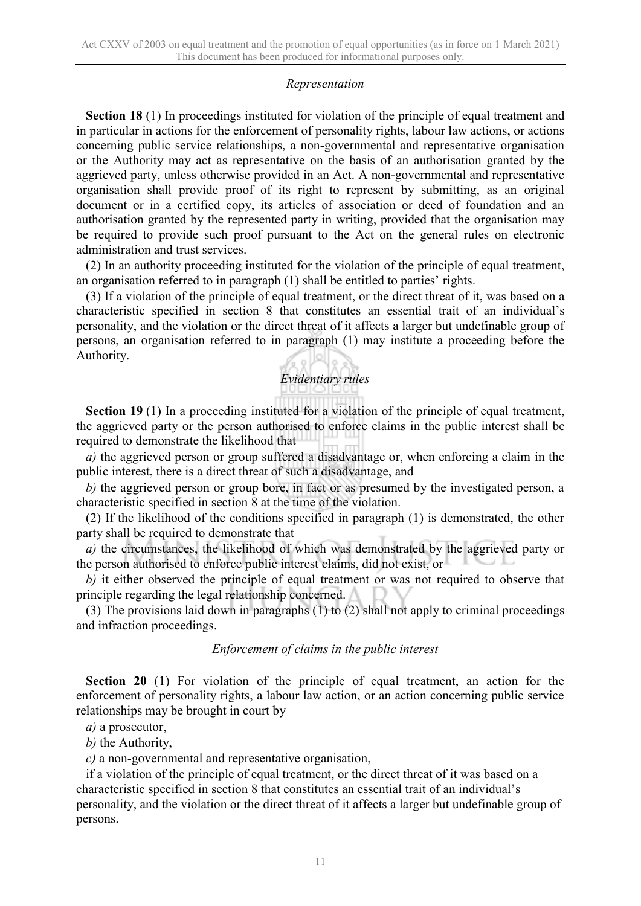#### *Representation*

**Section 18** (1) In proceedings instituted for violation of the principle of equal treatment and in particular in actions for the enforcement of personality rights, labour law actions, or actions concerning public service relationships, a non-governmental and representative organisation or the Authority may act as representative on the basis of an authorisation granted by the aggrieved party, unless otherwise provided in an Act. A non-governmental and representative organisation shall provide proof of its right to represent by submitting, as an original document or in a certified copy, its articles of association or deed of foundation and an authorisation granted by the represented party in writing, provided that the organisation may be required to provide such proof pursuant to the Act on the general rules on electronic administration and trust services.

(2) In an authority proceeding instituted for the violation of the principle of equal treatment, an organisation referred to in paragraph (1) shall be entitled to parties' rights.

(3) If a violation of the principle of equal treatment, or the direct threat of it, was based on a characteristic specified in section 8 that constitutes an essential trait of an individual's personality, and the violation or the direct threat of it affects a larger but undefinable group of persons, an organisation referred to in paragraph (1) may institute a proceeding before the Authority.

## *Evidentiary rules*

**Section 19** (1) In a proceeding instituted for a violation of the principle of equal treatment, the aggrieved party or the person authorised to enforce claims in the public interest shall be required to demonstrate the likelihood that

*a)* the aggrieved person or group suffered a disadvantage or, when enforcing a claim in the public interest, there is a direct threat of such a disadvantage, and

*b)* the aggrieved person or group bore, in fact or as presumed by the investigated person, a characteristic specified in section 8 at the time of the violation.

(2) If the likelihood of the conditions specified in paragraph (1) is demonstrated, the other party shall be required to demonstrate that

*a)* the circumstances, the likelihood of which was demonstrated by the aggrieved party or the person authorised to enforce public interest claims, did not exist, or

*b)* it either observed the principle of equal treatment or was not required to observe that principle regarding the legal relationship concerned.

(3) The provisions laid down in paragraphs (1) to (2) shall not apply to criminal proceedings and infraction proceedings.

#### *Enforcement of claims in the public interest*

**Section 20** (1) For violation of the principle of equal treatment, an action for the enforcement of personality rights, a labour law action, or an action concerning public service relationships may be brought in court by

*a)* a prosecutor,

*b)* the Authority,

*c)* a non-governmental and representative organisation,

if a violation of the principle of equal treatment, or the direct threat of it was based on a characteristic specified in section 8 that constitutes an essential trait of an individual's personality, and the violation or the direct threat of it affects a larger but undefinable group of persons.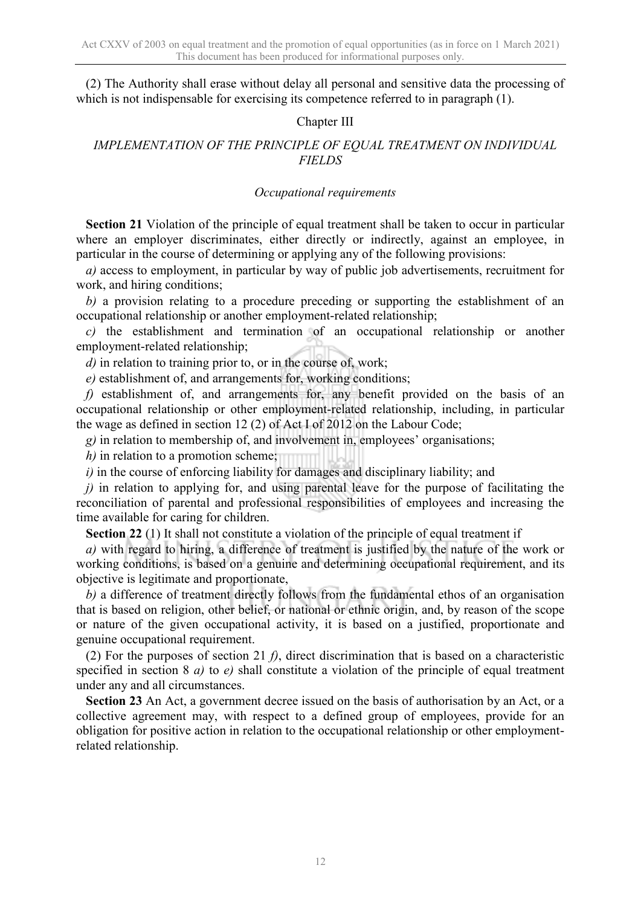(2) The Authority shall erase without delay all personal and sensitive data the processing of which is not indispensable for exercising its competence referred to in paragraph (1).

#### Chapter III

#### *IMPLEMENTATION OF THE PRINCIPLE OF EQUAL TREATMENT ON INDIVIDUAL FIELDS*

#### *Occupational requirements*

**Section 21** Violation of the principle of equal treatment shall be taken to occur in particular where an employer discriminates, either directly or indirectly, against an employee, in particular in the course of determining or applying any of the following provisions:

*a)* access to employment, in particular by way of public job advertisements, recruitment for work, and hiring conditions;

*b)* a provision relating to a procedure preceding or supporting the establishment of an occupational relationship or another employment-related relationship;

 $c)$  the establishment and termination of an occupational relationship or another employment-related relationship;

*d)* in relation to training prior to, or in the course of, work;

*e)* establishment of, and arrangements for, working conditions;

*f)* establishment of, and arrangements for, any benefit provided on the basis of an occupational relationship or other employment-related relationship, including, in particular the wage as defined in section 12 (2) of Act I of  $2012$  on the Labour Code;

*g)* in relation to membership of, and involvement in, employees' organisations;

*h*) in relation to a promotion scheme;

*i)* in the course of enforcing liability for damages and disciplinary liability; and

*j*) in relation to applying for, and using parental leave for the purpose of facilitating the reconciliation of parental and professional responsibilities of employees and increasing the time available for caring for children.

**Section 22** (1) It shall not constitute a violation of the principle of equal treatment if

*a)* with regard to hiring, a difference of treatment is justified by the nature of the work or working conditions, is based on a genuine and determining occupational requirement, and its objective is legitimate and proportionate,

*b)* a difference of treatment directly follows from the fundamental ethos of an organisation that is based on religion, other belief, or national or ethnic origin, and, by reason of the scope or nature of the given occupational activity, it is based on a justified, proportionate and genuine occupational requirement.

(2) For the purposes of section 21 *f)*, direct discrimination that is based on a characteristic specified in section 8 *a)* to *e)* shall constitute a violation of the principle of equal treatment under any and all circumstances.

**Section 23** An Act, a government decree issued on the basis of authorisation by an Act, or a collective agreement may, with respect to a defined group of employees, provide for an obligation for positive action in relation to the occupational relationship or other employmentrelated relationship.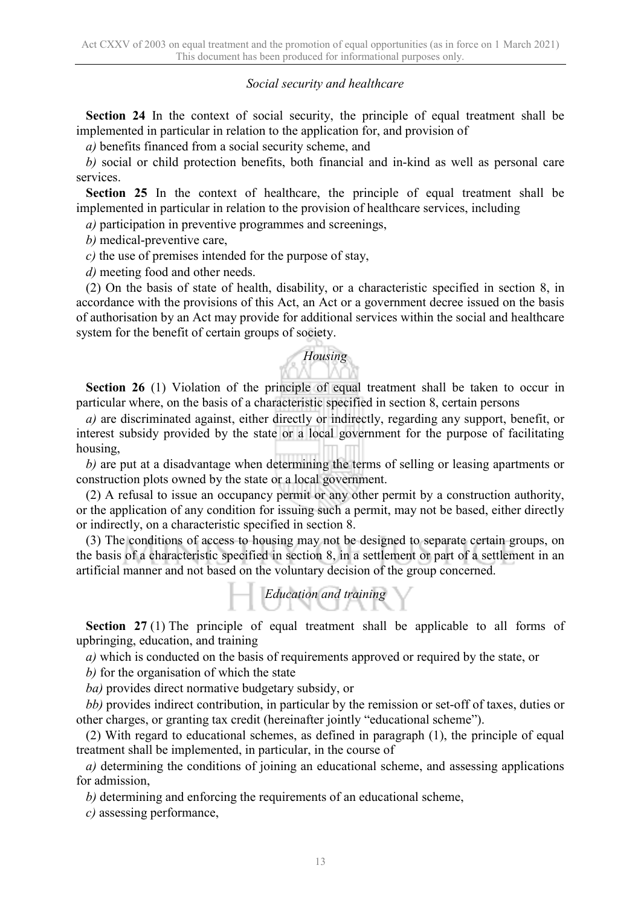#### *Social security and healthcare*

**Section 24** In the context of social security, the principle of equal treatment shall be implemented in particular in relation to the application for, and provision of

*a)* benefits financed from a social security scheme, and

*b)* social or child protection benefits, both financial and in-kind as well as personal care services.

**Section 25** In the context of healthcare, the principle of equal treatment shall be implemented in particular in relation to the provision of healthcare services, including

*a)* participation in preventive programmes and screenings,

*b)* medical-preventive care,

*c)* the use of premises intended for the purpose of stay,

*d)* meeting food and other needs.

(2) On the basis of state of health, disability, or a characteristic specified in section 8, in accordance with the provisions of this Act, an Act or a government decree issued on the basis of authorisation by an Act may provide for additional services within the social and healthcare system for the benefit of certain groups of society.

# *Housing*

**Section 26** (1) Violation of the principle of equal treatment shall be taken to occur in particular where, on the basis of a characteristic specified in section 8, certain persons

*a)* are discriminated against, either directly or indirectly, regarding any support, benefit, or interest subsidy provided by the state or a local government for the purpose of facilitating housing,

*b)* are put at a disadvantage when determining the terms of selling or leasing apartments or construction plots owned by the state or a local government.

(2) A refusal to issue an occupancy permit or any other permit by a construction authority, or the application of any condition for issuing such a permit, may not be based, either directly or indirectly, on a characteristic specified in section 8.

(3) The conditions of access to housing may not be designed to separate certain groups, on the basis of a characteristic specified in section 8, in a settlement or part of a settlement in an artificial manner and not based on the voluntary decision of the group concerned.



**Section 27** (1) The principle of equal treatment shall be applicable to all forms of upbringing, education, and training

*a)* which is conducted on the basis of requirements approved or required by the state, or

*b)* for the organisation of which the state

*ba)* provides direct normative budgetary subsidy, or

*bb)* provides indirect contribution, in particular by the remission or set-off of taxes, duties or other charges, or granting tax credit (hereinafter jointly "educational scheme").

(2) With regard to educational schemes, as defined in paragraph (1), the principle of equal treatment shall be implemented, in particular, in the course of

*a)* determining the conditions of joining an educational scheme, and assessing applications for admission,

*b)* determining and enforcing the requirements of an educational scheme,

*c)* assessing performance,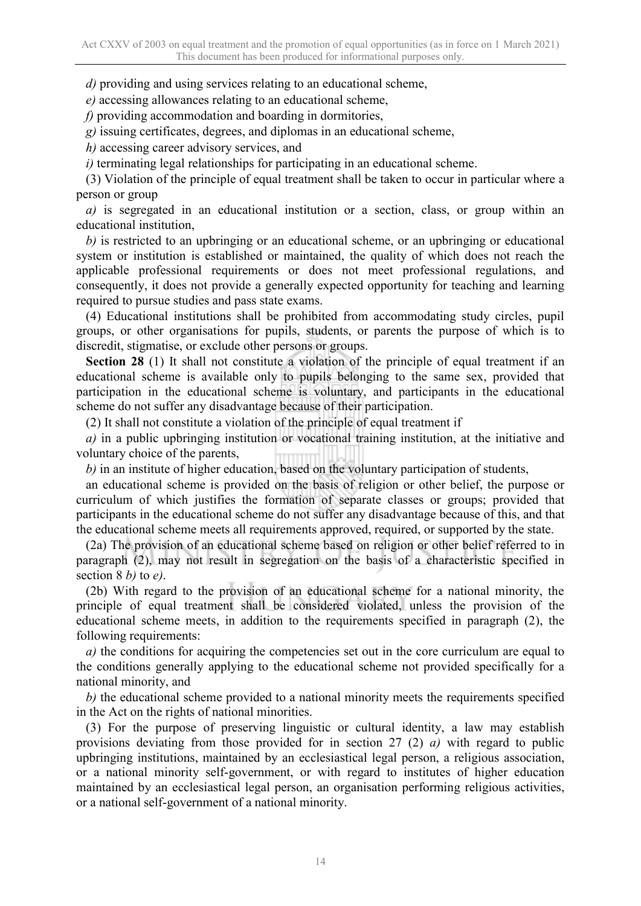*d)* providing and using services relating to an educational scheme,

*e)* accessing allowances relating to an educational scheme,

*f)* providing accommodation and boarding in dormitories,

*g)* issuing certificates, degrees, and diplomas in an educational scheme,

*h)* accessing career advisory services, and

*i)* terminating legal relationships for participating in an educational scheme.

(3) Violation of the principle of equal treatment shall be taken to occur in particular where a person or group

*a)* is segregated in an educational institution or a section, class, or group within an educational institution,

*b)* is restricted to an upbringing or an educational scheme, or an upbringing or educational system or institution is established or maintained, the quality of which does not reach the applicable professional requirements or does not meet professional regulations, and consequently, it does not provide a generally expected opportunity for teaching and learning required to pursue studies and pass state exams.

(4) Educational institutions shall be prohibited from accommodating study circles, pupil groups, or other organisations for pupils, students, or parents the purpose of which is to discredit, stigmatise, or exclude other persons or groups.

**Section 28** (1) It shall not constitute a violation of the principle of equal treatment if an educational scheme is available only to pupils belonging to the same sex, provided that participation in the educational scheme is voluntary, and participants in the educational scheme do not suffer any disadvantage because of their participation.

(2) It shall not constitute a violation of the principle of equal treatment if

*a)* in a public upbringing institution or vocational training institution, at the initiative and voluntary choice of the parents,

*b)* in an institute of higher education, based on the voluntary participation of students,

an educational scheme is provided on the basis of religion or other belief, the purpose or curriculum of which justifies the formation of separate classes or groups; provided that participants in the educational scheme do not suffer any disadvantage because of this, and that the educational scheme meets all requirements approved, required, or supported by the state.

(2a) The provision of an educational scheme based on religion or other belief referred to in paragraph (2), may not result in segregation on the basis of a characteristic specified in section 8 *b)* to *e)*.

(2b) With regard to the provision of an educational scheme for a national minority, the principle of equal treatment shall be considered violated, unless the provision of the educational scheme meets, in addition to the requirements specified in paragraph (2), the following requirements:

*a*) the conditions for acquiring the competencies set out in the core curriculum are equal to the conditions generally applying to the educational scheme not provided specifically for a national minority, and

*b)* the educational scheme provided to a national minority meets the requirements specified in the Act on the rights of national minorities.

(3) For the purpose of preserving linguistic or cultural identity, a law may establish provisions deviating from those provided for in section 27 (2) *a)* with regard to public upbringing institutions, maintained by an ecclesiastical legal person, a religious association, or a national minority self-government, or with regard to institutes of higher education maintained by an ecclesiastical legal person, an organisation performing religious activities, or a national self-government of a national minority.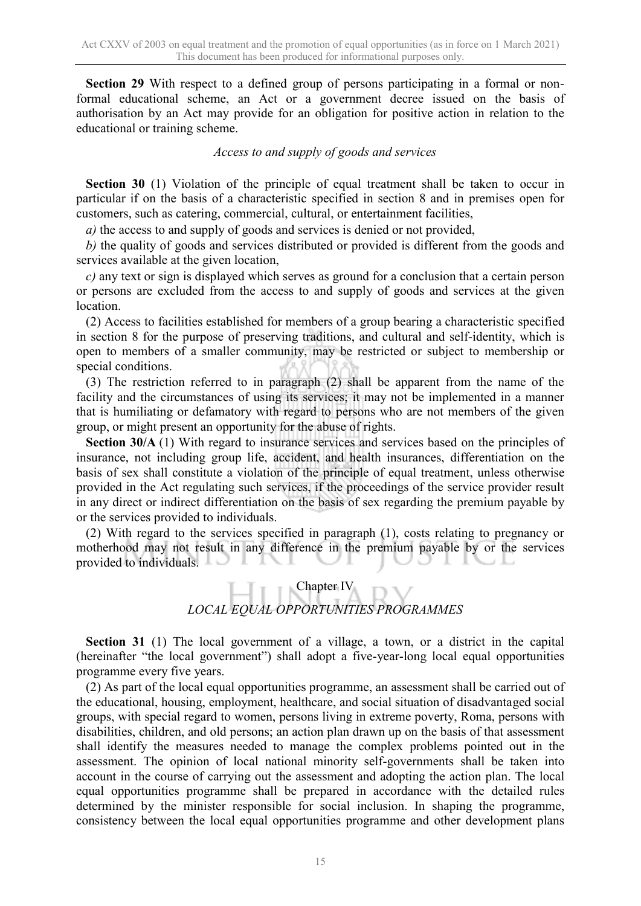**Section 29** With respect to a defined group of persons participating in a formal or nonformal educational scheme, an Act or a government decree issued on the basis of authorisation by an Act may provide for an obligation for positive action in relation to the educational or training scheme.

#### *Access to and supply of goods and services*

**Section 30** (1) Violation of the principle of equal treatment shall be taken to occur in particular if on the basis of a characteristic specified in section 8 and in premises open for customers, such as catering, commercial, cultural, or entertainment facilities,

*a)* the access to and supply of goods and services is denied or not provided,

*b)* the quality of goods and services distributed or provided is different from the goods and services available at the given location,

*c)* any text or sign is displayed which serves as ground for a conclusion that a certain person or persons are excluded from the access to and supply of goods and services at the given location.

(2) Access to facilities established for members of a group bearing a characteristic specified in section 8 for the purpose of preserving traditions, and cultural and self-identity, which is open to members of a smaller community, may be restricted or subject to membership or special conditions.

(3) The restriction referred to in paragraph (2) shall be apparent from the name of the facility and the circumstances of using its services; it may not be implemented in a manner that is humiliating or defamatory with regard to persons who are not members of the given group, or might present an opportunity for the abuse of rights.

**Section 30/A** (1) With regard to insurance services and services based on the principles of insurance, not including group life, accident, and health insurances, differentiation on the basis of sex shall constitute a violation of the principle of equal treatment, unless otherwise provided in the Act regulating such services, if the proceedings of the service provider result in any direct or indirect differentiation on the basis of sex regarding the premium payable by or the services provided to individuals.

(2) With regard to the services specified in paragraph (1), costs relating to pregnancy or motherhood may not result in any difference in the premium payable by or the services provided to individuals. ╲┸

### Chapter IV *LOCAL EQUAL OPPORTUNITIES PROGRAMMES*

**Section 31** (1) The local government of a village, a town, or a district in the capital (hereinafter "the local government") shall adopt a five-year-long local equal opportunities programme every five years.

(2) As part of the local equal opportunities programme, an assessment shall be carried out of the educational, housing, employment, healthcare, and social situation of disadvantaged social groups, with special regard to women, persons living in extreme poverty, Roma, persons with disabilities, children, and old persons; an action plan drawn up on the basis of that assessment shall identify the measures needed to manage the complex problems pointed out in the assessment. The opinion of local national minority self-governments shall be taken into account in the course of carrying out the assessment and adopting the action plan. The local equal opportunities programme shall be prepared in accordance with the detailed rules determined by the minister responsible for social inclusion. In shaping the programme, consistency between the local equal opportunities programme and other development plans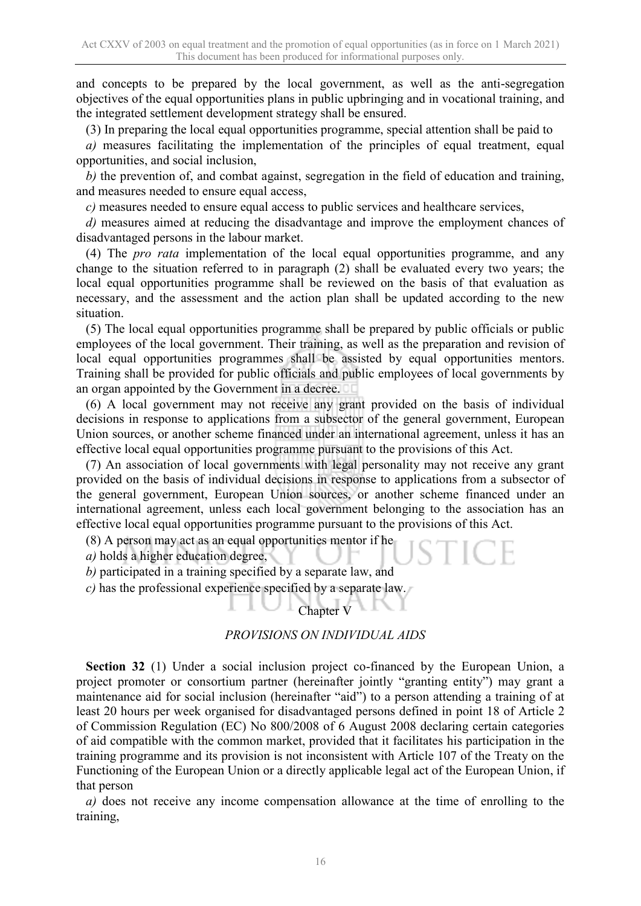and concepts to be prepared by the local government, as well as the anti-segregation objectives of the equal opportunities plans in public upbringing and in vocational training, and the integrated settlement development strategy shall be ensured.

(3) In preparing the local equal opportunities programme, special attention shall be paid to

*a)* measures facilitating the implementation of the principles of equal treatment, equal opportunities, and social inclusion,

*b)* the prevention of, and combat against, segregation in the field of education and training, and measures needed to ensure equal access,

*c)* measures needed to ensure equal access to public services and healthcare services,

*d)* measures aimed at reducing the disadvantage and improve the employment chances of disadvantaged persons in the labour market.

(4) The *pro rata* implementation of the local equal opportunities programme, and any change to the situation referred to in paragraph (2) shall be evaluated every two years; the local equal opportunities programme shall be reviewed on the basis of that evaluation as necessary, and the assessment and the action plan shall be updated according to the new situation.

(5) The local equal opportunities programme shall be prepared by public officials or public employees of the local government. Their training, as well as the preparation and revision of local equal opportunities programmes shall be assisted by equal opportunities mentors. Training shall be provided for public officials and public employees of local governments by an organ appointed by the Government in a decree.

(6) A local government may not receive any grant provided on the basis of individual decisions in response to applications from a subsector of the general government, European Union sources, or another scheme financed under an international agreement, unless it has an effective local equal opportunities programme pursuant to the provisions of this Act.

(7) An association of local governments with legal personality may not receive any grant provided on the basis of individual decisions in response to applications from a subsector of the general government, European Union sources, or another scheme financed under an international agreement, unless each local government belonging to the association has an effective local equal opportunities programme pursuant to the provisions of this Act.

(8) A person may act as an equal opportunities mentor if he

*a)* holds a higher education degree,

*b)* participated in a training specified by a separate law, and

*c)* has the professional experience specified by a separate law.

#### Chapter V

#### *PROVISIONS ON INDIVIDUAL AIDS*

**Section 32** (1) Under a social inclusion project co-financed by the European Union, a project promoter or consortium partner (hereinafter jointly "granting entity") may grant a maintenance aid for social inclusion (hereinafter "aid") to a person attending a training of at least 20 hours per week organised for disadvantaged persons defined in point 18 of Article 2 of Commission Regulation (EC) No 800/2008 of 6 August 2008 declaring certain categories of aid compatible with the common market, provided that it facilitates his participation in the training programme and its provision is not inconsistent with Article 107 of the Treaty on the Functioning of the European Union or a directly applicable legal act of the European Union, if that person

*a)* does not receive any income compensation allowance at the time of enrolling to the training,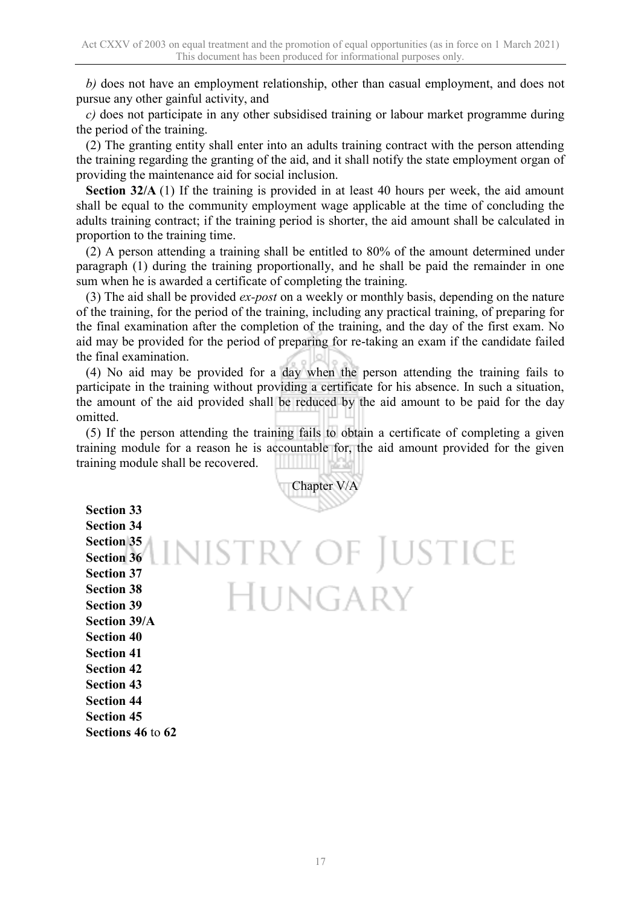*b)* does not have an employment relationship, other than casual employment, and does not pursue any other gainful activity, and

*c)* does not participate in any other subsidised training or labour market programme during the period of the training.

(2) The granting entity shall enter into an adults training contract with the person attending the training regarding the granting of the aid, and it shall notify the state employment organ of providing the maintenance aid for social inclusion.

**Section 32/A** (1) If the training is provided in at least 40 hours per week, the aid amount shall be equal to the community employment wage applicable at the time of concluding the adults training contract; if the training period is shorter, the aid amount shall be calculated in proportion to the training time.

(2) A person attending a training shall be entitled to 80% of the amount determined under paragraph (1) during the training proportionally, and he shall be paid the remainder in one sum when he is awarded a certificate of completing the training.

(3) The aid shall be provided *ex-post* on a weekly or monthly basis, depending on the nature of the training, for the period of the training, including any practical training, of preparing for the final examination after the completion of the training, and the day of the first exam. No aid may be provided for the period of preparing for re-taking an exam if the candidate failed the final examination.

(4) No aid may be provided for a day when the person attending the training fails to participate in the training without providing a certificate for his absence. In such a situation, the amount of the aid provided shall be reduced by the aid amount to be paid for the day omitted.

(5) If the person attending the training fails to obtain a certificate of completing a given training module for a reason he is accountable for, the aid amount provided for the given training module shall be recovered.

Chapter V/A **Section 33 Section 34 Section 35** LINISTRY OF JUSTICE **Section 36 Section 37 HUNGARY Section 38 Section 39 Section 39/A Section 40 Section 41 Section 42 Section 43 Section 44 Section 45**

**Sections 46** to **62**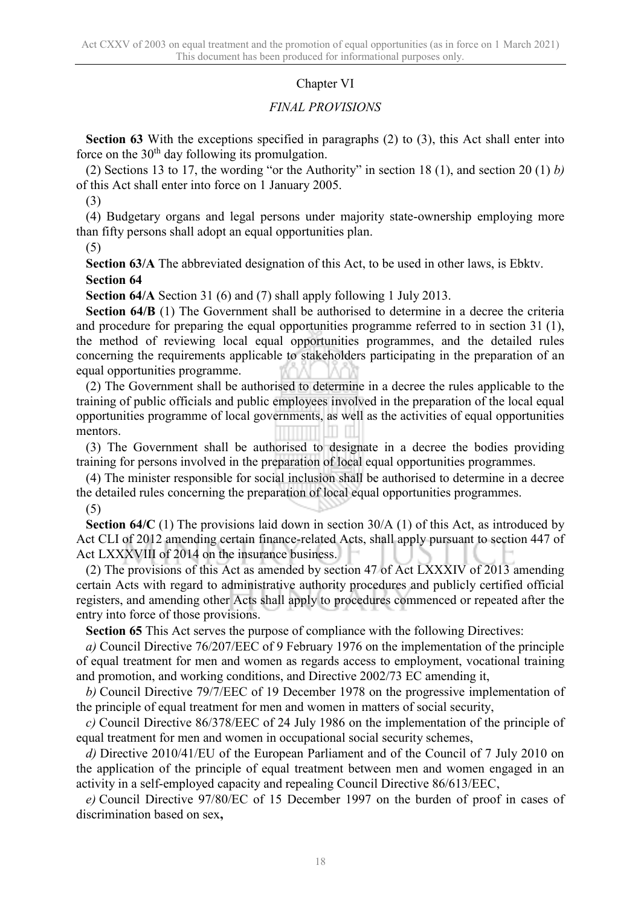#### Chapter VI

#### *FINAL PROVISIONS*

**Section 63** With the exceptions specified in paragraphs (2) to (3), this Act shall enter into force on the  $30<sup>th</sup>$  day following its promulgation.

(2) Sections 13 to 17, the wording "or the Authority" in section 18 (1), and section 20 (1) *b)* of this Act shall enter into force on 1 January 2005.

(3)

(4) Budgetary organs and legal persons under majority state-ownership employing more than fifty persons shall adopt an equal opportunities plan.

(5)

**Section 63/A** The abbreviated designation of this Act, to be used in other laws, is Ebktv. **Section 64**

**Section 64/A** Section 31 (6) and (7) shall apply following 1 July 2013.

**Section 64/B** (1) The Government shall be authorised to determine in a decree the criteria and procedure for preparing the equal opportunities programme referred to in section 31 (1), the method of reviewing local equal opportunities programmes, and the detailed rules concerning the requirements applicable to stakeholders participating in the preparation of an equal opportunities programme.

(2) The Government shall be authorised to determine in a decree the rules applicable to the training of public officials and public employees involved in the preparation of the local equal opportunities programme of local governments, as well as the activities of equal opportunities mentors.

(3) The Government shall be authorised to designate in a decree the bodies providing training for persons involved in the preparation of local equal opportunities programmes.

(4) The minister responsible for social inclusion shall be authorised to determine in a decree the detailed rules concerning the preparation of local equal opportunities programmes.

(5)

**Section 64/C** (1) The provisions laid down in section 30/A (1) of this Act, as introduced by Act CLI of 2012 amending certain finance-related Acts, shall apply pursuant to section 447 of Act LXXXVIII of 2014 on the insurance business.

(2) The provisions of this Act as amended by section 47 of Act LXXXIV of 2013 amending certain Acts with regard to administrative authority procedures and publicly certified official registers, and amending other Acts shall apply to procedures commenced or repeated after the entry into force of those provisions.

**Section 65** This Act serves the purpose of compliance with the following Directives:

*a)* Council Directive 76/207/EEC of 9 February 1976 on the implementation of the principle of equal treatment for men and women as regards access to employment, vocational training and promotion, and working conditions, and Directive 2002/73 EC amending it,

*b)* Council Directive 79/7/EEC of 19 December 1978 on the progressive implementation of the principle of equal treatment for men and women in matters of social security,

*c)* Council Directive 86/378/EEC of 24 July 1986 on the implementation of the principle of equal treatment for men and women in occupational social security schemes,

*d)* Directive 2010/41/EU of the European Parliament and of the Council of 7 July 2010 on the application of the principle of equal treatment between men and women engaged in an activity in a self-employed capacity and repealing Council Directive 86/613/EEC,

*e)* Council Directive 97/80/EC of 15 December 1997 on the burden of proof in cases of discrimination based on sex**,**